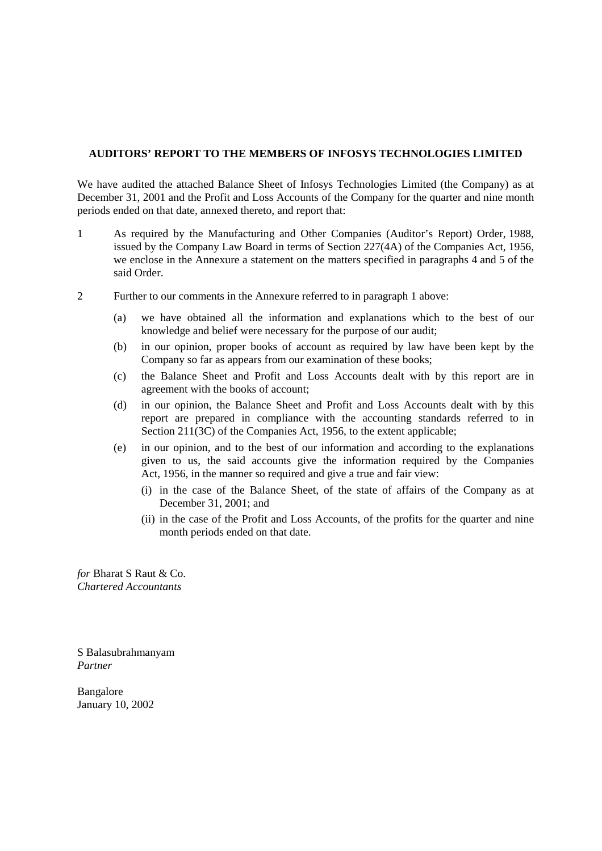# **AUDITORS' REPORT TO THE MEMBERS OF INFOSYS TECHNOLOGIES LIMITED**

We have audited the attached Balance Sheet of Infosys Technologies Limited (the Company) as at December 31, 2001 and the Profit and Loss Accounts of the Company for the quarter and nine month periods ended on that date, annexed thereto, and report that:

- 1 As required by the Manufacturing and Other Companies (Auditor's Report) Order, 1988, issued by the Company Law Board in terms of Section 227(4A) of the Companies Act, 1956, we enclose in the Annexure a statement on the matters specified in paragraphs 4 and 5 of the said Order.
- 2 Further to our comments in the Annexure referred to in paragraph 1 above:
	- (a) we have obtained all the information and explanations which to the best of our knowledge and belief were necessary for the purpose of our audit;
	- (b) in our opinion, proper books of account as required by law have been kept by the Company so far as appears from our examination of these books;
	- (c) the Balance Sheet and Profit and Loss Accounts dealt with by this report are in agreement with the books of account;
	- (d) in our opinion, the Balance Sheet and Profit and Loss Accounts dealt with by this report are prepared in compliance with the accounting standards referred to in Section 211(3C) of the Companies Act, 1956, to the extent applicable;
	- (e) in our opinion, and to the best of our information and according to the explanations given to us, the said accounts give the information required by the Companies Act, 1956, in the manner so required and give a true and fair view:
		- (i) in the case of the Balance Sheet, of the state of affairs of the Company as at December 31, 2001; and
		- (ii) in the case of the Profit and Loss Accounts, of the profits for the quarter and nine month periods ended on that date.

*for* Bharat S Raut & Co. *Chartered Accountants* 

S Balasubrahmanyam *Partner* 

Bangalore January 10, 2002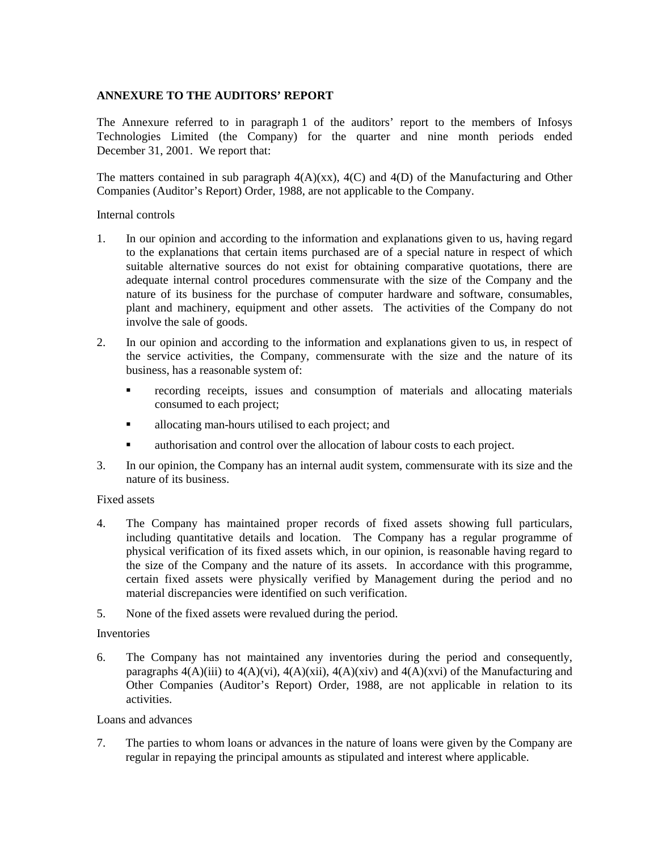## **ANNEXURE TO THE AUDITORS' REPORT**

The Annexure referred to in paragraph 1 of the auditors' report to the members of Infosys Technologies Limited (the Company) for the quarter and nine month periods ended December 31, 2001. We report that:

The matters contained in sub paragraph  $4(A)(xx)$ ,  $4(C)$  and  $4(D)$  of the Manufacturing and Other Companies (Auditor's Report) Order, 1988, are not applicable to the Company.

#### Internal controls

- 1. In our opinion and according to the information and explanations given to us, having regard to the explanations that certain items purchased are of a special nature in respect of which suitable alternative sources do not exist for obtaining comparative quotations, there are adequate internal control procedures commensurate with the size of the Company and the nature of its business for the purchase of computer hardware and software, consumables, plant and machinery, equipment and other assets. The activities of the Company do not involve the sale of goods.
- 2. In our opinion and according to the information and explanations given to us, in respect of the service activities, the Company, commensurate with the size and the nature of its business, has a reasonable system of:
	- ! recording receipts, issues and consumption of materials and allocating materials consumed to each project;
	- I allocating man-hours utilised to each project; and
	- ! authorisation and control over the allocation of labour costs to each project.
- 3. In our opinion, the Company has an internal audit system, commensurate with its size and the nature of its business.

## Fixed assets

- 4. The Company has maintained proper records of fixed assets showing full particulars, including quantitative details and location. The Company has a regular programme of physical verification of its fixed assets which, in our opinion, is reasonable having regard to the size of the Company and the nature of its assets. In accordance with this programme, certain fixed assets were physically verified by Management during the period and no material discrepancies were identified on such verification.
- 5. None of the fixed assets were revalued during the period.

## Inventories

6. The Company has not maintained any inventories during the period and consequently, paragraphs  $4(A)(iii)$  to  $4(A)(vi)$ ,  $4(A)(xii)$ ,  $4(A)(xiv)$  and  $4(A)(xvi)$  of the Manufacturing and Other Companies (Auditor's Report) Order, 1988, are not applicable in relation to its activities.

#### Loans and advances

7. The parties to whom loans or advances in the nature of loans were given by the Company are regular in repaying the principal amounts as stipulated and interest where applicable.